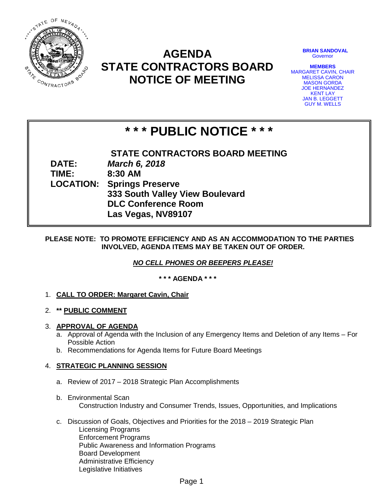

# **AGENDA STATE CONTRACTORS BOARD NOTICE OF MEETING**

**BRIAN SANDOVAL Governor** 

**MEMBERS** MARGARET CAVIN, CHAIR MELISSA CARON MASON GORDA JOE HERNANDEZ KENT LAY JAN B. LEGGETT GUY M. WELLS

# **\* \* \* PUBLIC NOTICE \* \* \***

**STATE CONTRACTORS BOARD MEETING DATE:** *March 6, 2018* **TIME: 8:30 AM LOCATION: Springs Preserve 333 South Valley View Boulevard DLC Conference Room Las Vegas, NV89107**

# **PLEASE NOTE: TO PROMOTE EFFICIENCY AND AS AN ACCOMMODATION TO THE PARTIES INVOLVED, AGENDA ITEMS MAY BE TAKEN OUT OF ORDER.**

*NO CELL PHONES OR BEEPERS PLEASE!* 

**\* \* \* AGENDA \* \* \***

- 1. **CALL TO ORDER: Margaret Cavin, Chair**
- 2. **\*\* PUBLIC COMMENT**

# 3. **APPROVAL OF AGENDA**

- a. Approval of Agenda with the Inclusion of any Emergency Items and Deletion of any Items For Possible Action
- b. Recommendations for Agenda Items for Future Board Meetings

# 4. **STRATEGIC PLANNING SESSION**

- a. Review of 2017 2018 Strategic Plan Accomplishments
- b. Environmental Scan Construction Industry and Consumer Trends, Issues, Opportunities, and Implications
- c. Discussion of Goals, Objectives and Priorities for the 2018 2019 Strategic Plan Licensing Programs Enforcement Programs Public Awareness and Information Programs Board Development Administrative Efficiency Legislative Initiatives